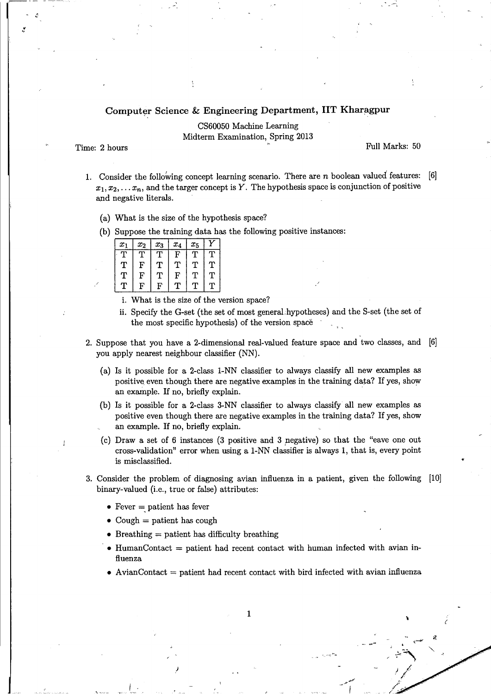## Computer Science & Engineering Department, IIT Kharagpur

CS60050 Machine Learning Midterm Examination, Spring 2013

 $"$ 

Time: 2 hours  $\sim$  Full Marks: 50

 $\zeta$ 

- 1. Consider the following concept learning scenario. There are n boolean valued features:  $[6]$  $x_1, x_2, \ldots, x_n$ , and the targer concept is *Y*. The hypothesis space is conjunction of positive and negative literals.
	- (a) What is the size of the hypothesis space?
	- (b) Suppose the training data has the following positive instances:

| $\pmb{x}_1$ | $x_2$ | $x_3$ | $x_4$        | $x_{5}$ |   |
|-------------|-------|-------|--------------|---------|---|
| Υ           | ጥ     | ጥ     | $\mathbf{F}$ |         |   |
| т           | F     | т     | т            | т       | Т |
| т           | F     | т     | F            | ፐ       | ፐ |
| Т           | F     | F     | т            | Ͳ       | ጥ |

- i. What is the size of the version space?
- ii. Specify the G-set (the set of most general.hypotheses) and the S-set (the set of the most specific hypothesis) of the version space
- 2. Suppose that you have a 2-dimensional real-valued feature space and two classes, and [6] you apply nearest neighbour classifier (NN).
	- (a) Is it possible for a 2-class 1-NN classifier to always classify all new examples as positive even though there are negative examples in the training data? If yes, show an example. If no, briefly explain.
	- (b) Is it possible for a 2-class 3-NN classifier to always classify all new examples as positive even though there are negative examples in the training data? If yes, show an example. If no, briefly explain.
	- (c) Draw a set of 6 instances (3 positive and 3 pegative) so that the "eave one out cross-validation" error when using a 1-NN classifier is always 1, that is, every point is misclassified.
- 3. Consider the problem of diagnosing avian influenza in a patient, given the following [10] binary-valued (i.e., true or false) attributes:
	- Fever  $=$  patient has fever
	- Cough = patient has cough
	- Breathing  $=$  patient has difficulty breathing

)

- HumanContact = patient had recent contact with human infected with avian influenza
- AvianContact  $=$  patient had recent contact with bird infected with avian influenza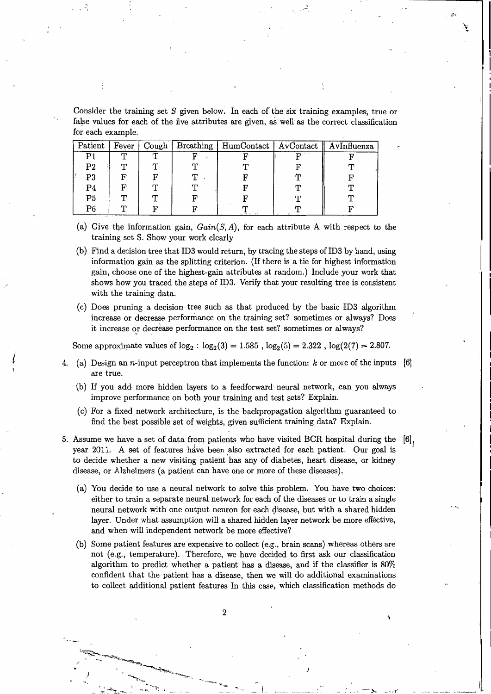Consider the training set *S* given below. In each of the six training examples, true or false values for each of the five attributes are given, a8 well as the correct classification for each example.

| Patient        | Fever        | Cough | Breathing | HumContact   AvContact   AvInfluenza |  |
|----------------|--------------|-------|-----------|--------------------------------------|--|
| P1             | $\mathbf{r}$ | m     |           |                                      |  |
| P <sub>2</sub> |              |       |           |                                      |  |
| P3             |              |       |           |                                      |  |
| P4             |              |       |           |                                      |  |
| P5             |              |       |           |                                      |  |
| P6             |              |       |           |                                      |  |

- (a) Give the information gain, *Gain(S, A),* for each attribute A with respect to the training set S. Show your work clearly
- (b) Find a decision tree that ID3 would return, by tracing the steps of ID3 by hand, using information gain as the splitting criterion. (If there is a tie for highest information gain, choose one of the highest-gain attributes at random.) Include your work that shows how you traced the steps of ID3. Verify that your resulting tree is consistent with the training data.
- (c) Does pruning a decision tree such as that produced by the basic ID3 algorithm increase or decrease performance on the training set? sometimes or always? Does it increase or decrease performance on the test set? sometimes or always?

Some approximate values of  $\log_2$ :  $\log_2(3) = 1.585$ ,  $\log_2(5) = 2.322$ ,  $\log(2(7) = 2.807$ .

- 4. (a) Design an n-input perceptron that implements the function:  $k$  or more of the inputs  $[6]$ are true.
	- (b) If you add more hidden layers to a feedforward neural network, can you always improve performance on both your training and test sets? Explain.
	- (c) For a fixed network architecture, is the backpropagation algorithm guaranteed to find the best possible set of weights, given sufficient training data? Explain.
- $[6]$ 5. Assume we have a set of data from patients who have visited BCR hospital during the year 2011. A set of features have been also extracted for each patient. Our goal is to decide whether a new visiting patient has any of diabetes, heart disease, or kidney disease, or Alzheimers (a patient can have one or more of these diseases).
	- (a) You decide to use a neural network to solve this problem. You have two choices: either to train a separate neural network for each of the diseases or to train a single neural network with one output neuron for each disease, but with a shared hidden layer. Under what assumption will a shared hidden layer network be more effective, and when will independent network be more effective?
	- (b) Some patient features are expensive to collect (e.g., brain scans) whereas others are not (e.g., temperature). Therefore, we have decided to first ask our classification algorithm to predict whether a patient has a disease, and if the classifier is 80% confident that the patient has a disease, then we will do additional examinations to collect additional patient features In this case, which classification methods do

 $\ddot{\phantom{0}}$ 

2